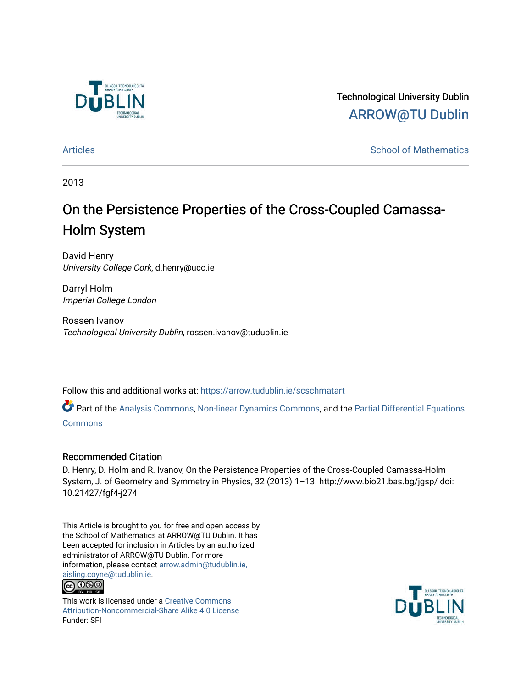

Technological University Dublin [ARROW@TU Dublin](https://arrow.tudublin.ie/) 

[Articles](https://arrow.tudublin.ie/scschmatart) **School of Mathematics** [School of Mathematics](https://arrow.tudublin.ie/scschmat) **School of Mathematics** 

2013

# On the Persistence Properties of the Cross-Coupled Camassa-Holm System

David Henry University College Cork, d.henry@ucc.ie

Darryl Holm Imperial College London

Rossen Ivanov Technological University Dublin, rossen.ivanov@tudublin.ie

Follow this and additional works at: [https://arrow.tudublin.ie/scschmatart](https://arrow.tudublin.ie/scschmatart?utm_source=arrow.tudublin.ie%2Fscschmatart%2F138&utm_medium=PDF&utm_campaign=PDFCoverPages)

Part of the [Analysis Commons](http://network.bepress.com/hgg/discipline/177?utm_source=arrow.tudublin.ie%2Fscschmatart%2F138&utm_medium=PDF&utm_campaign=PDFCoverPages), [Non-linear Dynamics Commons](http://network.bepress.com/hgg/discipline/118?utm_source=arrow.tudublin.ie%2Fscschmatart%2F138&utm_medium=PDF&utm_campaign=PDFCoverPages), and the [Partial Differential Equations](http://network.bepress.com/hgg/discipline/120?utm_source=arrow.tudublin.ie%2Fscschmatart%2F138&utm_medium=PDF&utm_campaign=PDFCoverPages) **[Commons](http://network.bepress.com/hgg/discipline/120?utm_source=arrow.tudublin.ie%2Fscschmatart%2F138&utm_medium=PDF&utm_campaign=PDFCoverPages)** 

#### Recommended Citation

D. Henry, D. Holm and R. Ivanov, On the Persistence Properties of the Cross-Coupled Camassa-Holm System, J. of Geometry and Symmetry in Physics, 32 (2013) 1–13. http://www.bio21.bas.bg/jgsp/ doi: 10.21427/fgf4-j274

This Article is brought to you for free and open access by the School of Mathematics at ARROW@TU Dublin. It has been accepted for inclusion in Articles by an authorized administrator of ARROW@TU Dublin. For more information, please contact [arrow.admin@tudublin.ie,](mailto:arrow.admin@tudublin.ie,%20aisling.coyne@tudublin.ie)  [aisling.coyne@tudublin.ie.](mailto:arrow.admin@tudublin.ie,%20aisling.coyne@tudublin.ie) **@@@** 



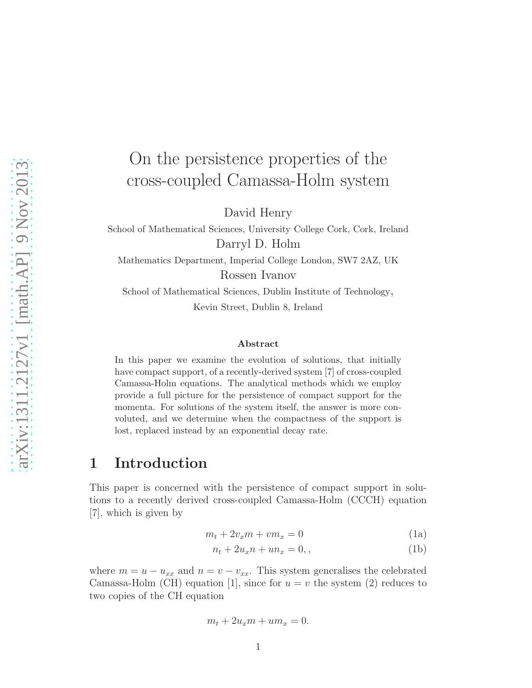# On the persistence properties of the cross-coupled Camassa-Holm system

David Henry

School of Mathematical Sciences, University College Cork, Cork, Ireland Darryl D. Holm

Mathematics Department, Imperial College London, SW7 2AZ, UK Rossen Ivanov

School of Mathematical Sciences, Dublin Institute of Technology, Kevin Street, Dublin 8, Ireland

#### Abstract

In this paper we examine the evolution of solutions, that initially have compact support, of a recently-derived system [7] of cross-coupled Camassa-Holm equations. The analytical methods which we employ provide a full picture for the persistence of compact support for the momenta. For solutions of the system itself, the answer is more convoluted, and we determine when the compactness of the support is lost, replaced instead by an exponential decay rate.

## 1 Introduction

This paper is concerned with the persistence of compact support in solutions to a recently derived cross-coupled Camassa-Holm (CCCH) equation [7], which is given by

$$
m_t + 2v_x m + v m_x = 0 \tag{1a}
$$

$$
n_t + 2u_x n + un_x = 0,
$$
\n<sup>(1b)</sup>

where  $m = u - u_{xx}$  and  $n = v - v_{xx}$ . This system generalises the celebrated Camassa-Holm (CH) equation [1], since for  $u = v$  the system (2) reduces to two copies of the CH equation

$$
m_t + 2u_x m + u m_x = 0.
$$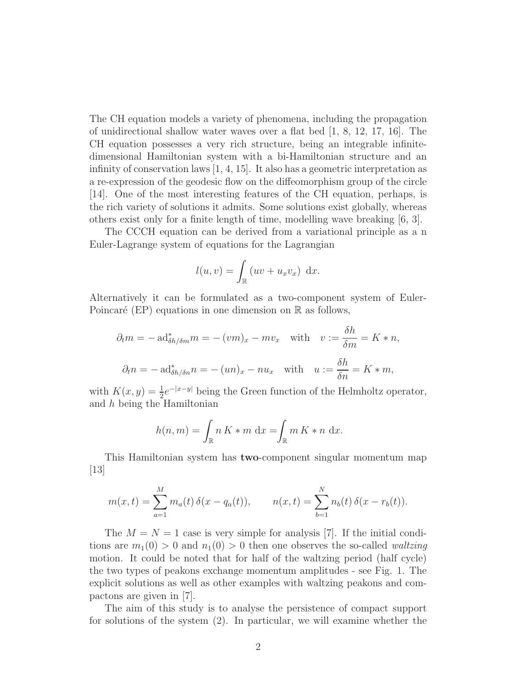The CH equation models a variety of phenomena, including the propagation of unidirectional shallow water waves over a flat bed [1, 8, 12, 17, 16]. The CH equation possesses a very rich structure, being an integrable infinitedimensional Hamiltonian system with a bi-Hamiltonian structure and an infinity of conservation laws [1, 4, 15]. It also has a geometric interpretation as a re-expression of the geodesic flow on the diffeomorphism group of the circle [14]. One of the most interesting features of the CH equation, perhaps, is the rich variety of solutions it admits. Some solutions exist globally, whereas others exist only for a finite length of time, modelling wave breaking [6, 3].

The CCCH equation can be derived from a variational principle as a n Euler-Lagrange system of equations for the Lagrangian

$$
l(u, v) = \int_{\mathbb{R}} (uv + u_x v_x) dx.
$$

Alternatively it can be formulated as a two-component system of Euler-Poincaré (EP) equations in one dimension on  $\mathbb R$  as follows,

$$
\partial_t m = - \operatorname{ad}^*_{\delta h/\delta m} m = -(vm)_x - mv_x \quad \text{with} \quad v := \frac{\delta h}{\delta m} = K * n,
$$
  

$$
\partial_t n = - \operatorname{ad}^*_{\delta h/\delta n} n = -(un)_x - nu_x \quad \text{with} \quad u := \frac{\delta h}{\delta n} = K * m,
$$

with  $K(x, y) = \frac{1}{2}e^{-|x-y|}$  being the Green function of the Helmholtz operator, and h being the Hamiltonian

$$
h(n,m) = \int_{\mathbb{R}} n K \ast m \, dx = \int_{\mathbb{R}} m K \ast n \, dx.
$$

This Hamiltonian system has two-component singular momentum map [13]

$$
m(x,t) = \sum_{a=1}^{M} m_a(t) \, \delta(x - q_a(t)), \qquad n(x,t) = \sum_{b=1}^{N} n_b(t) \, \delta(x - r_b(t)).
$$

The  $M = N = 1$  case is very simple for analysis [7]. If the initial conditions are  $m_1(0) > 0$  and  $n_1(0) > 0$  then one observes the so-called *waltzing* motion. It could be noted that for half of the waltzing period (half cycle) the two types of peakons exchange momentum amplitudes - see Fig. 1. The explicit solutions as well as other examples with waltzing peakons and compactons are given in [7].

The aim of this study is to analyse the persistence of compact support for solutions of the system (2). In particular, we will examine whether the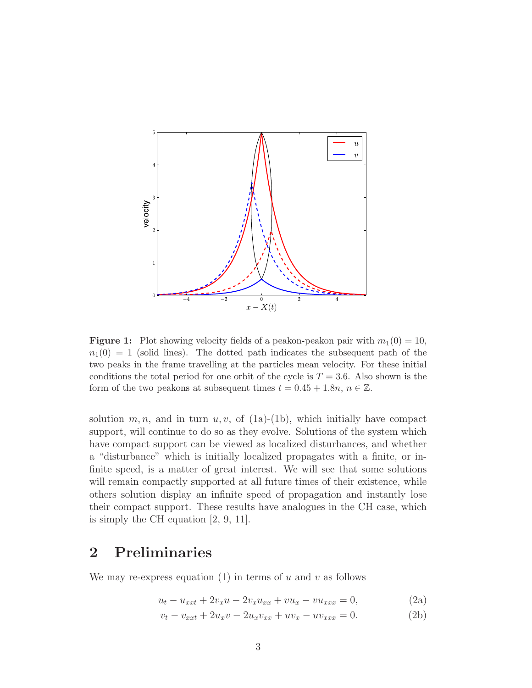

**Figure 1:** Plot showing velocity fields of a peakon-peakon pair with  $m_1(0) = 10$ ,  $n_1(0) = 1$  (solid lines). The dotted path indicates the subsequent path of the two peaks in the frame travelling at the particles mean velocity. For these initial conditions the total period for one orbit of the cycle is  $T = 3.6$ . Also shown is the form of the two peakons at subsequent times  $t = 0.45 + 1.8n$ ,  $n \in \mathbb{Z}$ .

solution  $m, n$ , and in turn  $u, v$ , of (1a)-(1b), which initially have compact support, will continue to do so as they evolve. Solutions of the system which have compact support can be viewed as localized disturbances, and whether a "disturbance" which is initially localized propagates with a finite, or infinite speed, is a matter of great interest. We will see that some solutions will remain compactly supported at all future times of their existence, while others solution display an infinite speed of propagation and instantly lose their compact support. These results have analogues in the CH case, which is simply the CH equation [2, 9, 11].

# 2 Preliminaries

We may re-express equation  $(1)$  in terms of u and v as follows

$$
u_t - u_{xxt} + 2v_x u - 2v_x u_{xx} + v u_x - v u_{xxx} = 0,
$$
\n(2a)

$$
v_t - v_{xxt} + 2u_x v - 2u_x v_{xx} + uv_x - uv_{xxx} = 0.
$$
 (2b)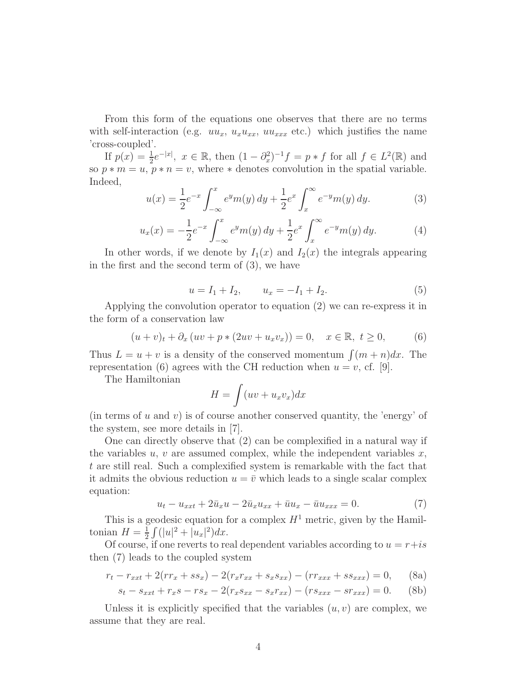From this form of the equations one observes that there are no terms with self-interaction (e.g.  $uu_x$ ,  $u_xu_{xx}$ ,  $uu_{xxx}$  etc.) which justifies the name 'cross-coupled'.

If  $p(x) = \frac{1}{2}e^{-|x|}, x \in \mathbb{R}$ , then  $(1 - \partial_x^2)^{-1} f = p * f$  for all  $f \in L^2(\mathbb{R})$  and so  $p * m = u$ ,  $p * n = v$ , where  $*$  denotes convolution in the spatial variable. Indeed,

$$
u(x) = \frac{1}{2}e^{-x} \int_{-\infty}^{x} e^{y} m(y) dy + \frac{1}{2}e^{x} \int_{x}^{\infty} e^{-y} m(y) dy.
$$
 (3)

$$
u_x(x) = -\frac{1}{2}e^{-x} \int_{-\infty}^x e^y m(y) \, dy + \frac{1}{2}e^x \int_x^{\infty} e^{-y} m(y) \, dy. \tag{4}
$$

In other words, if we denote by  $I_1(x)$  and  $I_2(x)$  the integrals appearing in the first and the second term of (3), we have

$$
u = I_1 + I_2, \qquad u_x = -I_1 + I_2. \tag{5}
$$

Applying the convolution operator to equation (2) we can re-express it in the form of a conservation law

$$
(u + v)_t + \partial_x (uv + p * (2uv + u_x v_x)) = 0, \quad x \in \mathbb{R}, t \ge 0,
$$
 (6)

Thus  $L = u + v$  is a density of the conserved momentum  $\int (m + n)dx$ . The representation (6) agrees with the CH reduction when  $u = v$ , cf. [9].

The Hamiltonian

$$
H = \int (uv + u_x v_x) dx
$$

(in terms of  $u$  and  $v$ ) is of course another conserved quantity, the 'energy' of the system, see more details in [7].

One can directly observe that (2) can be complexified in a natural way if the variables  $u, v$  are assumed complex, while the independent variables  $x$ , t are still real. Such a complexified system is remarkable with the fact that it admits the obvious reduction  $u = \overline{v}$  which leads to a single scalar complex equation:

$$
u_t - u_{xxt} + 2\bar{u}_x u - 2\bar{u}_x u_{xx} + \bar{u}u_x - \bar{u}u_{xxx} = 0.
$$
 (7)

This is a geodesic equation for a complex  $H^1$  metric, given by the Hamiltonian  $H=\frac{1}{2}$  $\frac{1}{2}\int (|u|^2 + |u_x|^2) dx.$ 

Of course, if one reverts to real dependent variables according to  $u = r + is$ then (7) leads to the coupled system

$$
r_t - r_{xxt} + 2(rr_x + ss_x) - 2(r_xr_{xx} + s_xs_{xx}) - (rr_{xxx} + ss_{xxx}) = 0, \quad (8a)
$$

$$
s_t - s_{xxt} + r_x s - r s_x - 2(r_x s_{xx} - s_x r_{xx}) - (r s_{xxx} - s r_{xxx}) = 0.
$$
 (8b)

Unless it is explicitly specified that the variables  $(u, v)$  are complex, we assume that they are real.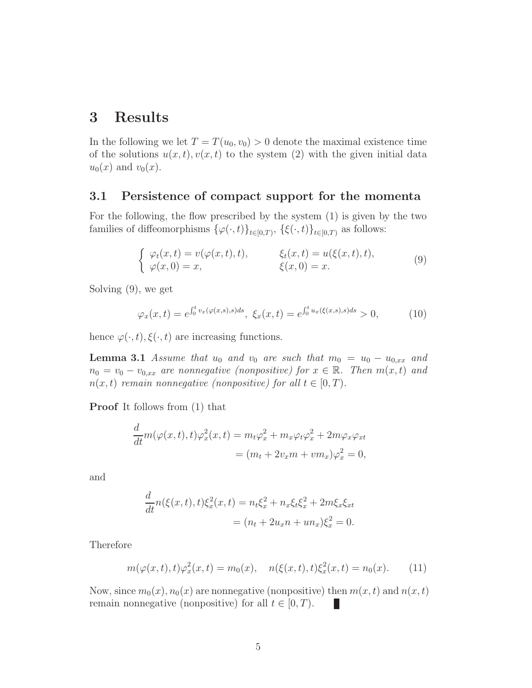# 3 Results

In the following we let  $T = T(u_0, v_0) > 0$  denote the maximal existence time of the solutions  $u(x, t), v(x, t)$  to the system (2) with the given initial data  $u_0(x)$  and  $v_0(x)$ .

#### 3.1 Persistence of compact support for the momenta

For the following, the flow prescribed by the system (1) is given by the two families of diffeomorphisms  $\{\varphi(\cdot,t)\}_{t\in[0,T)}$ ,  $\{\xi(\cdot,t)\}_{t\in[0,T)}$  as follows:

$$
\begin{cases}\n\varphi_t(x,t) = v(\varphi(x,t),t), & \xi_t(x,t) = u(\xi(x,t),t), \\
\varphi(x,0) = x, & \xi(x,0) = x.\n\end{cases}
$$
\n(9)

Solving (9), we get

$$
\varphi_x(x,t) = e^{\int_0^t v_x(\varphi(x,s),s)ds}, \xi_x(x,t) = e^{\int_0^t u_x(\xi(x,s),s)ds} > 0,
$$
 (10)

hence  $\varphi(\cdot, t), \xi(\cdot, t)$  are increasing functions.

**Lemma 3.1** *Assume that*  $u_0$  *and*  $v_0$  *are such that*  $m_0 = u_0 - u_{0,xx}$  *and*  $n_0 = v_0 - v_{0,xx}$  are nonnegative (nonpositive) for  $x \in \mathbb{R}$ . Then  $m(x, t)$  and  $n(x, t)$  *remain nonnegative (nonpositive) for all*  $t \in [0, T)$ .

Proof It follows from (1) that

$$
\frac{d}{dt}m(\varphi(x,t),t)\varphi_x^2(x,t) = m_t\varphi_x^2 + m_x\varphi_t\varphi_x^2 + 2m\varphi_x\varphi_{xt}
$$

$$
= (m_t + 2v_xm + v m_x)\varphi_x^2 = 0,
$$

and

$$
\frac{d}{dt}n(\xi(x,t),t)\xi_x^2(x,t) = n_t\xi_x^2 + n_x\xi_t\xi_x^2 + 2m\xi_x\xi_{xt}
$$

$$
= (n_t + 2u_xn + un_x)\xi_x^2 = 0.
$$

Therefore

$$
m(\varphi(x,t),t)\varphi_x^2(x,t) = m_0(x), \quad n(\xi(x,t),t)\xi_x^2(x,t) = n_0(x). \tag{11}
$$

Now, since  $m_0(x)$ ,  $n_0(x)$  are nonnegative (nonpositive) then  $m(x, t)$  and  $n(x, t)$ remain nonnegative (nonpositive) for all  $t \in [0, T)$ . Ш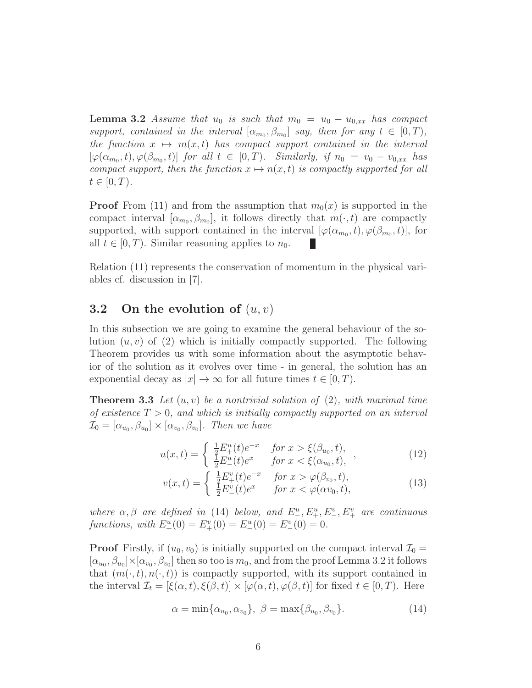**Lemma 3.2** *Assume that*  $u_0$  *is such that*  $m_0 = u_0 - u_{0,xx}$  *has compact support, contained in the interval*  $[\alpha_{m_0}, \beta_{m_0}]$  *say, then for any*  $t \in [0, T)$ *, the function*  $x \mapsto m(x, t)$  *has compact support contained in the interval*  $[\varphi(\alpha_{m_0}, t), \varphi(\beta_{m_0}, t)]$  *for all*  $t \in [0, T)$ *. Similarly, if*  $n_0 = v_0 - v_{0,xx}$  *has compact support, then the function*  $x \mapsto n(x, t)$  *is compactly supported for all*  $t \in [0, T)$ .

**Proof** From (11) and from the assumption that  $m_0(x)$  is supported in the compact interval  $[\alpha_{m_0}, \beta_{m_0}]$ , it follows directly that  $m(\cdot, t)$  are compactly supported, with support contained in the interval  $[\varphi(\alpha_{m_0}, t), \varphi(\beta_{m_0}, t)]$ , for all  $t \in [0, T)$ . Similar reasoning applies to  $n_0$ .

Relation (11) represents the conservation of momentum in the physical variables cf. discussion in [7].

### 3.2 On the evolution of  $(u, v)$

In this subsection we are going to examine the general behaviour of the solution  $(u, v)$  of (2) which is initially compactly supported. The following Theorem provides us with some information about the asymptotic behavior of the solution as it evolves over time - in general, the solution has an exponential decay as  $|x| \to \infty$  for all future times  $t \in [0, T)$ .

Theorem 3.3 *Let* (u, v) *be a nontrivial solution of* (2)*, with maximal time of existence* T > 0*, and which is initially compactly supported on an interval*  $\mathcal{I}_0 = [\alpha_{u_0}, \beta_{u_0}] \times [\alpha_{v_0}, \beta_{v_0}]$ . Then we have

$$
u(x,t) = \begin{cases} \frac{1}{2} E_{+}^{u}(t) e^{-x} & \text{for } x > \xi(\beta_{u_0}, t), \\ \frac{1}{2} E_{-}^{u}(t) e^{x} & \text{for } x < \xi(\alpha_{u_0}, t), \end{cases}
$$
 (12)

$$
v(x,t) = \begin{cases} \frac{1}{2} E_{+}^{v}(t) e^{-x} & \text{for } x > \varphi(\beta_{v_0}, t), \\ \frac{1}{2} E_{-}^{v}(t) e^{x} & \text{for } x < \varphi(\alpha v_0, t), \end{cases}
$$
(13)

*where*  $\alpha, \beta$  *are defined in* (14) *below, and*  $E_{-}^u, E_{+}^u, E_{-}^v, E_{+}^v$  *are continuous functions, with*  $E_{+}^{u}(0) = E_{+}^{v}(0) = E_{-}^{u}(0) = E_{-}^{v}(0) = 0.$ 

**Proof** Firstly, if  $(u_0, v_0)$  is initially supported on the compact interval  $\mathcal{I}_0$  =  $[\alpha_{u_0}, \beta_{u_0}] \times [\alpha_{v_0}, \beta_{v_0}]$  then so too is  $m_0$ , and from the proof Lemma 3.2 it follows that  $(m(\cdot, t), n(\cdot, t))$  is compactly supported, with its support contained in the interval  $\mathcal{I}_t = [\xi(\alpha, t), \xi(\beta, t)] \times [\varphi(\alpha, t), \varphi(\beta, t)]$  for fixed  $t \in [0, T)$ . Here

$$
\alpha = \min\{\alpha_{u_0}, \alpha_{v_0}\}, \ \beta = \max\{\beta_{u_0}, \beta_{v_0}\}.
$$
 (14)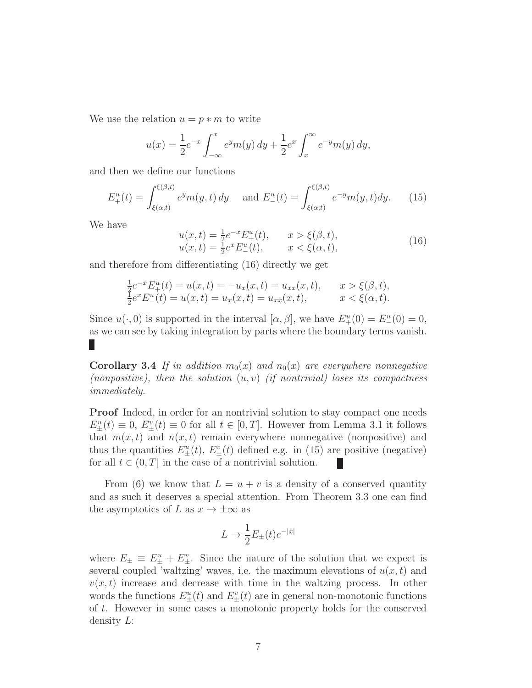We use the relation  $u = p * m$  to write

$$
u(x) = \frac{1}{2}e^{-x} \int_{-\infty}^{x} e^{y} m(y) dy + \frac{1}{2}e^{x} \int_{x}^{\infty} e^{-y} m(y) dy,
$$

and then we define our functions

$$
E_{+}^{u}(t) = \int_{\xi(\alpha,t)}^{\xi(\beta,t)} e^{y} m(y,t) \, dy \quad \text{and } E_{-}^{u}(t) = \int_{\xi(\alpha,t)}^{\xi(\beta,t)} e^{-y} m(y,t) dy. \tag{15}
$$

We have

$$
u(x,t) = \frac{1}{2}e^{-x}E_{+}^{u}(t), \t x > \xi(\beta, t),
$$
  
\n
$$
u(x,t) = \frac{1}{2}e^{x}E_{-}^{u}(t), \t x < \xi(\alpha, t),
$$
\n(16)

and therefore from differentiating (16) directly we get

$$
\frac{1}{2}e^{-x}E_{+}^{u}(t) = u(x,t) = -u_{x}(x,t) = u_{xx}(x,t), \qquad x > \xi(\beta, t),
$$
  
\n
$$
\frac{1}{2}e^{x}E_{-}^{u}(t) = u(x,t) = u_{x}(x,t) = u_{xx}(x,t), \qquad x < \xi(\alpha, t).
$$

Since  $u(\cdot,0)$  is supported in the interval  $[\alpha,\beta]$ , we have  $E^u_+(0) = E^u_-(0) = 0$ , as we can see by taking integration by parts where the boundary terms vanish. П

**Corollary 3.4** If in addition  $m_0(x)$  and  $n_0(x)$  are everywhere nonnegative *(nonpositive), then the solution* (u, v) *(if nontrivial) loses its compactness immediately.*

**Proof** Indeed, in order for an nontrivial solution to stay compact one needs  $E^u_{\pm}(t) \equiv 0$ ,  $E^v_{\pm}(t) \equiv 0$  for all  $t \in [0, T]$ . However from Lemma 3.1 it follows that  $m(x, t)$  and  $n(x, t)$  remain everywhere nonnegative (nonpositive) and thus the quantities  $E_{\pm}^u(t)$ ,  $E_{\pm}^v(t)$  defined e.g. in (15) are positive (negative) for all  $t \in (0, T]$  in the case of a nontrivial solution.

From (6) we know that  $L = u + v$  is a density of a conserved quantity and as such it deserves a special attention. From Theorem 3.3 one can find the asymptotics of L as  $x \to \pm \infty$  as

$$
L \to \frac{1}{2} E_{\pm}(t) e^{-|x|}
$$

where  $E_{\pm} \equiv E_{\pm}^u + E_{\pm}^v$ . Since the nature of the solution that we expect is several coupled 'waltzing' waves, i.e. the maximum elevations of  $u(x, t)$  and  $v(x, t)$  increase and decrease with time in the waltzing process. In other words the functions  $E_{\pm}^u(t)$  and  $E_{\pm}^v(t)$  are in general non-monotonic functions of t. However in some cases a monotonic property holds for the conserved density  $L$ :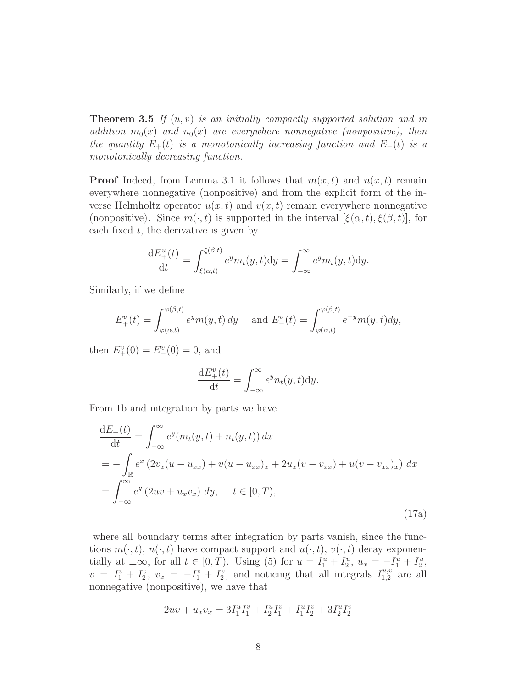Theorem 3.5 *If* (u, v) *is an initially compactly supported solution and in addition*  $m_0(x)$  *and*  $n_0(x)$  *are everywhere nonnegative (nonpositive), then the quantity*  $E_+(t)$  *is a monotonically increasing function and*  $E_-(t)$  *is a monotonically decreasing function.*

**Proof** Indeed, from Lemma 3.1 it follows that  $m(x,t)$  and  $n(x,t)$  remain everywhere nonnegative (nonpositive) and from the explicit form of the inverse Helmholtz operator  $u(x, t)$  and  $v(x, t)$  remain everywhere nonnegative (nonpositive). Since  $m(\cdot,t)$  is supported in the interval  $[\xi(\alpha,t), \xi(\beta,t)]$ , for each fixed  $t$ , the derivative is given by

$$
\frac{\mathrm{d}E_{+}^{u}(t)}{\mathrm{d}t} = \int_{\xi(\alpha,t)}^{\xi(\beta,t)} e^{y} m_t(y,t) \mathrm{d}y = \int_{-\infty}^{\infty} e^{y} m_t(y,t) \mathrm{d}y.
$$

Similarly, if we define

$$
E_{+}^{v}(t) = \int_{\varphi(\alpha,t)}^{\varphi(\beta,t)} e^{y} m(y,t) dy \quad \text{ and } E_{-}^{v}(t) = \int_{\varphi(\alpha,t)}^{\varphi(\beta,t)} e^{-y} m(y,t) dy,
$$

then  $E_{+}^{v}(0) = E_{-}^{v}(0) = 0$ , and

$$
\frac{\mathrm{d}E_{+}^{v}(t)}{\mathrm{d}t} = \int_{-\infty}^{\infty} e^{y} n_t(y, t) \mathrm{d}y.
$$

From 1b and integration by parts we have

$$
\frac{dE_{+}(t)}{dt} = \int_{-\infty}^{\infty} e^{y} (m_{t}(y, t) + n_{t}(y, t)) dx
$$
  
=  $-\int_{\mathbb{R}} e^{x} (2v_{x}(u - u_{xx}) + v(u - u_{xx})_{x} + 2u_{x}(v - v_{xx}) + u(v - v_{xx})_{x}) dx$   
=  $\int_{-\infty}^{\infty} e^{y} (2uv + u_{x}v_{x}) dy, \quad t \in [0, T),$  (17a)

where all boundary terms after integration by parts vanish, since the functions  $m(\cdot, t)$ ,  $n(\cdot, t)$  have compact support and  $u(\cdot, t)$ ,  $v(\cdot, t)$  decay exponentially at  $\pm \infty$ , for all  $t \in [0, T)$ . Using (5) for  $u = I_1^u + I_2^u$ ,  $u_x = -I_1^u + I_2^u$ ,  $v = I_1^v + I_2^v$ ,  $v_x = -I_1^v + I_2^v$ , and noticing that all integrals  $I_{1,2}^{u,v}$  are all nonnegative (nonpositive), we have that

$$
2uv + u_xv_x = 3I_1^uI_1^v + I_2^uI_1^v + I_1^uI_2^v + 3I_2^uI_2^v
$$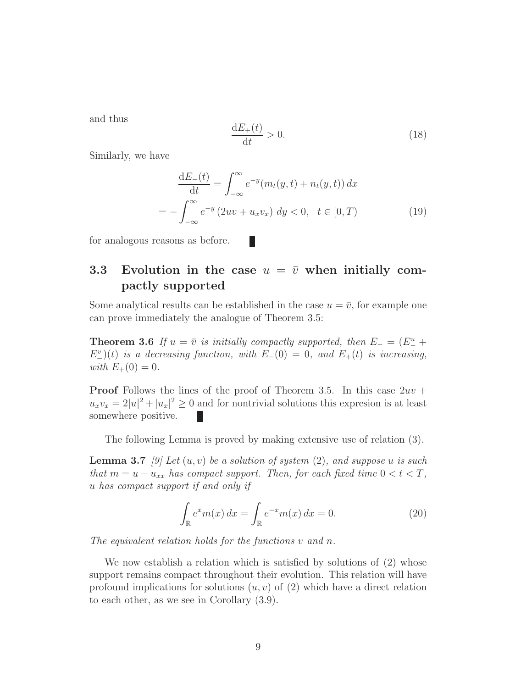and thus

$$
\frac{\mathrm{d}E_+(t)}{\mathrm{d}t} > 0.\tag{18}
$$

Similarly, we have

$$
\frac{dE_{-}(t)}{dt} = \int_{-\infty}^{\infty} e^{-y} (m_t(y, t) + n_t(y, t)) dx
$$
  
= 
$$
- \int_{-\infty}^{\infty} e^{-y} (2uv + u_x v_x) dy < 0, \quad t \in [0, T)
$$
 (19)

for analogous reasons as before.

### 3.3 Evolution in the case  $u = \overline{v}$  when initially compactly supported

П

Some analytical results can be established in the case  $u = \bar{v}$ , for example one can prove immediately the analogue of Theorem 3.5:

**Theorem 3.6** *If*  $u = \overline{v}$  *is initially compactly supported, then*  $E_{-} = (E_{-}^{u} +$  $E_{-}^{v}(t)$  *is a decreasing function, with*  $E_{-}(0) = 0$ *, and*  $E_{+}(t)$  *is increasing, with*  $E_{+}(0) = 0$ *.* 

**Proof** Follows the lines of the proof of Theorem 3.5. In this case  $2uv +$  $u_x v_x = 2|u|^2 + |u_x|^2 \ge 0$  and for nontrivial solutions this expresion is at least somewhere positive.

The following Lemma is proved by making extensive use of relation (3).

Lemma 3.7 *[9] Let* (u, v) *be a solution of system* (2)*, and suppose* u *is such that*  $m = u - u_{xx}$  *has compact support. Then, for each fixed time*  $0 < t < T$ , u *has compact support if and only if*

$$
\int_{\mathbb{R}} e^x m(x) dx = \int_{\mathbb{R}} e^{-x} m(x) dx = 0.
$$
 (20)

*The equivalent relation holds for the functions* v *and* n*.*

We now establish a relation which is satisfied by solutions of  $(2)$  whose support remains compact throughout their evolution. This relation will have profound implications for solutions  $(u, v)$  of  $(2)$  which have a direct relation to each other, as we see in Corollary (3.9).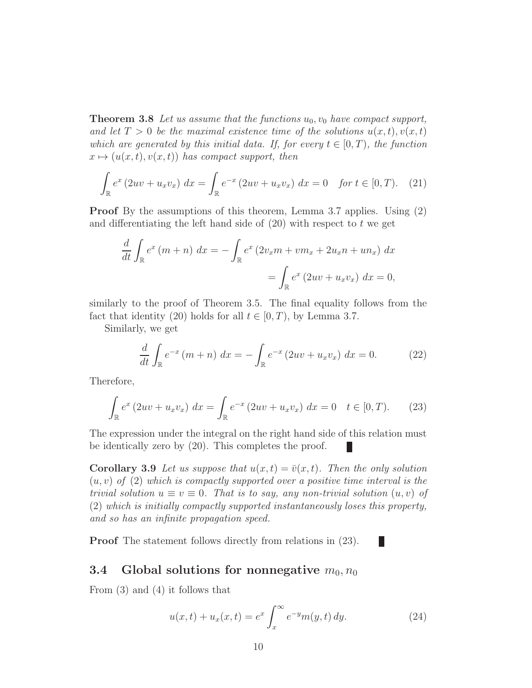**Theorem 3.8** Let us assume that the functions  $u_0$ ,  $v_0$  have compact support, and let  $T > 0$  be the maximal existence time of the solutions  $u(x, t)$ ,  $v(x, t)$ *which are generated by this initial data. If, for every*  $t \in [0, T)$ *, the function*  $x \mapsto (u(x, t), v(x, t))$  has compact support, then

$$
\int_{\mathbb{R}} e^x (2uv + u_x v_x) dx = \int_{\mathbb{R}} e^{-x} (2uv + u_x v_x) dx = 0 \text{ for } t \in [0, T). \tag{21}
$$

Proof By the assumptions of this theorem, Lemma 3.7 applies. Using (2) and differentiating the left hand side of  $(20)$  with respect to t we get

$$
\frac{d}{dt} \int_{\mathbb{R}} e^x (m+n) dx = - \int_{\mathbb{R}} e^x (2v_x m + v m_x + 2u_x n + u n_x) dx
$$

$$
= \int_{\mathbb{R}} e^x (2uv + u_x v_x) dx = 0,
$$

similarly to the proof of Theorem 3.5. The final equality follows from the fact that identity (20) holds for all  $t \in [0, T)$ , by Lemma 3.7.

Similarly, we get

$$
\frac{d}{dt} \int_{\mathbb{R}} e^{-x} (m+n) dx = - \int_{\mathbb{R}} e^{-x} (2uv + u_x v_x) dx = 0.
$$
 (22)

Therefore,

$$
\int_{\mathbb{R}} e^x (2uv + u_x v_x) dx = \int_{\mathbb{R}} e^{-x} (2uv + u_x v_x) dx = 0 \quad t \in [0, T). \tag{23}
$$

The expression under the integral on the right hand side of this relation must be identically zero by (20). This completes the proof.

**Corollary 3.9** Let us suppose that  $u(x,t) = \bar{v}(x,t)$ . Then the only solution (u, v) *of* (2) *which is compactly supported over a positive time interval is the trivial solution*  $u \equiv v \equiv 0$ *. That is to say, any non-trivial solution*  $(u, v)$  of (2) *which is initially compactly supported instantaneously loses this property, and so has an infinite propagation speed.*

Proof The statement follows directly from relations in (23).

### 3.4 Global solutions for nonnegative  $m_0, n_0$

From (3) and (4) it follows that

$$
u(x,t) + u_x(x,t) = e^x \int_x^{\infty} e^{-y} m(y,t) \, dy. \tag{24}
$$

L.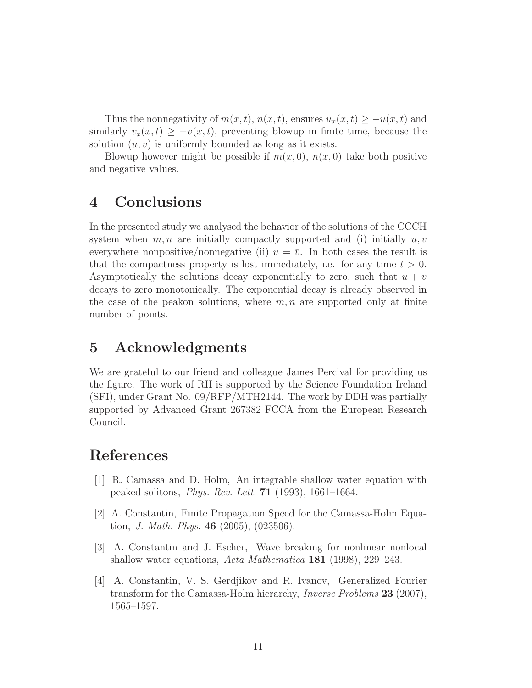Thus the nonnegativity of  $m(x, t)$ ,  $n(x, t)$ , ensures  $u_x(x, t) \geq -u(x, t)$  and similarly  $v_x(x, t) \geq -v(x, t)$ , preventing blowup in finite time, because the solution  $(u, v)$  is uniformly bounded as long as it exists.

Blowup however might be possible if  $m(x, 0)$ ,  $n(x, 0)$  take both positive and negative values.

# 4 Conclusions

In the presented study we analysed the behavior of the solutions of the CCCH system when  $m, n$  are initially compactly supported and (i) initially  $u, v$ everywhere nonpositive/nonnegative (ii)  $u = \bar{v}$ . In both cases the result is that the compactness property is lost immediately, i.e. for any time  $t > 0$ . Asymptotically the solutions decay exponentially to zero, such that  $u + v$ decays to zero monotonically. The exponential decay is already observed in the case of the peakon solutions, where  $m, n$  are supported only at finite number of points.

# 5 Acknowledgments

We are grateful to our friend and colleague James Percival for providing us the figure. The work of RII is supported by the Science Foundation Ireland (SFI), under Grant No. 09/RFP/MTH2144. The work by DDH was partially supported by Advanced Grant 267382 FCCA from the European Research Council.

# References

- [1] R. Camassa and D. Holm, An integrable shallow water equation with peaked solitons, *Phys. Rev. Lett.* 71 (1993), 1661–1664.
- [2] A. Constantin, Finite Propagation Speed for the Camassa-Holm Equation, *J. Math. Phys.* 46 (2005), (023506).
- [3] A. Constantin and J. Escher, Wave breaking for nonlinear nonlocal shallow water equations, *Acta Mathematica* 181 (1998), 229–243.
- [4] A. Constantin, V. S. Gerdjikov and R. Ivanov, Generalized Fourier transform for the Camassa-Holm hierarchy, *Inverse Problems* 23 (2007), 1565–1597.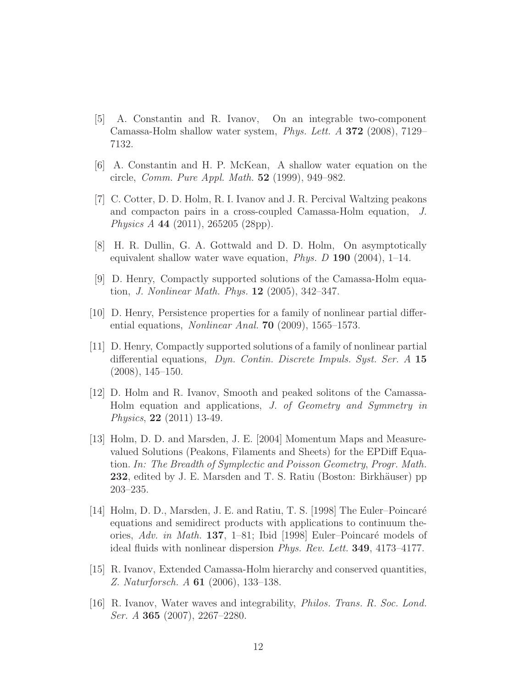- [5] A. Constantin and R. Ivanov, On an integrable two-component Camassa-Holm shallow water system, *Phys. Lett. A* 372 (2008), 7129– 7132.
- [6] A. Constantin and H. P. McKean, A shallow water equation on the circle, *Comm. Pure Appl. Math.* 52 (1999), 949–982.
- [7] C. Cotter, D. D. Holm, R. I. Ivanov and J. R. Percival Waltzing peakons and compacton pairs in a cross-coupled Camassa-Holm equation, *J. Physics A* 44 (2011), 265205 (28pp).
- [8] H. R. Dullin, G. A. Gottwald and D. D. Holm, On asymptotically equivalent shallow water wave equation, *Phys. D* 190 (2004), 1–14.
- [9] D. Henry, Compactly supported solutions of the Camassa-Holm equation, *J. Nonlinear Math. Phys.* 12 (2005), 342–347.
- [10] D. Henry, Persistence properties for a family of nonlinear partial differential equations, *Nonlinear Anal.* 70 (2009), 1565–1573.
- [11] D. Henry, Compactly supported solutions of a family of nonlinear partial differential equations, *Dyn. Contin. Discrete Impuls. Syst. Ser. A* 15 (2008), 145–150.
- [12] D. Holm and R. Ivanov, Smooth and peaked solitons of the Camassa-Holm equation and applications, *J. of Geometry and Symmetry in Physics*, 22 (2011) 13-49.
- [13] Holm, D. D. and Marsden, J. E. [2004] Momentum Maps and Measurevalued Solutions (Peakons, Filaments and Sheets) for the EPDiff Equation. *In: The Breadth of Symplectic and Poisson Geometry*, *Progr. Math.* 232, edited by J. E. Marsden and T. S. Ratiu (Boston: Birkhäuser) pp 203–235.
- [14] Holm, D. D., Marsden, J. E. and Ratiu, T. S. [1998] The Euler–Poincaré equations and semidirect products with applications to continuum theories, *Adv. in Math.* 137, 1–81; Ibid [1998] Euler–Poincaré models of ideal fluids with nonlinear dispersion *Phys. Rev. Lett.* 349, 4173–4177.
- [15] R. Ivanov, Extended Camassa-Holm hierarchy and conserved quantities, *Z. Naturforsch. A* 61 (2006), 133–138.
- [16] R. Ivanov, Water waves and integrability, *Philos. Trans. R. Soc. Lond. Ser. A* 365 (2007), 2267–2280.